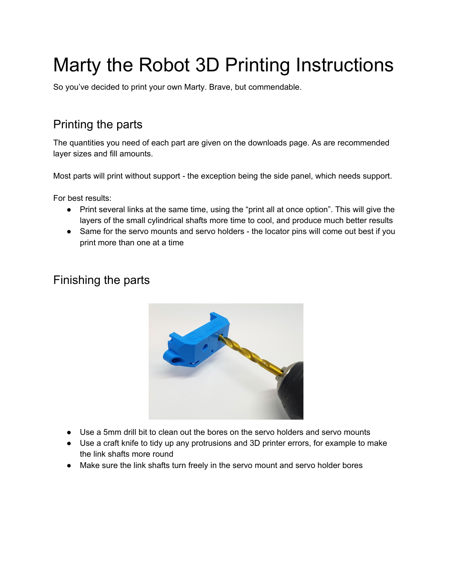# Marty the Robot 3D Printing Instructions

So you've decided to print your own Marty. Brave, but commendable.

# Printing the parts

The quantities you need of each part are given on the downloads page. As are recommended layer sizes and fill amounts.

Most parts will print without support - the exception being the side panel, which needs support.

For best results:

- Print several links at the same time, using the "print all at once option". This will give the layers of the small cylindrical shafts more time to cool, and produce much better results
- Same for the servo mounts and servo holders the locator pins will come out best if you print more than one at a time

## Finishing the parts



- Use a 5mm drill bit to clean out the bores on the servo holders and servo mounts
- Use a craft knife to tidy up any protrusions and 3D printer errors, for example to make the link shafts more round
- Make sure the link shafts turn freely in the servo mount and servo holder bores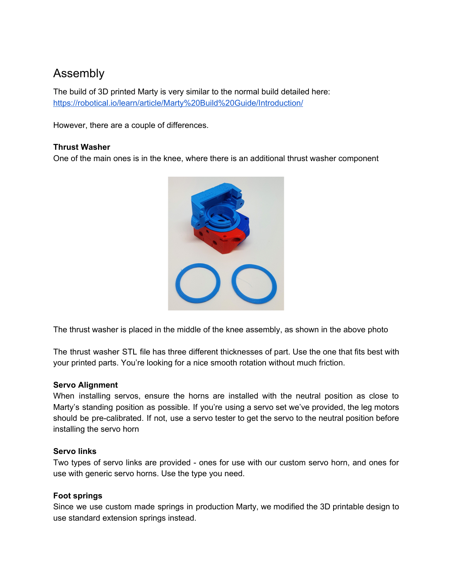## Assembly

The build of 3D printed Marty is very similar to the normal build detailed here: <https://robotical.io/learn/article/Marty%20Build%20Guide/Introduction/>

However, there are a couple of differences.

### **Thrust Washer**

One of the main ones is in the knee, where there is an additional thrust washer component



The thrust washer is placed in the middle of the knee assembly, as shown in the above photo

The thrust washer STL file has three different thicknesses of part. Use the one that fits best with your printed parts. You're looking for a nice smooth rotation without much friction.

#### **Servo Alignment**

When installing servos, ensure the horns are installed with the neutral position as close to Marty's standing position as possible. If you're using a servo set we've provided, the leg motors should be pre-calibrated. If not, use a servo tester to get the servo to the neutral position before installing the servo horn

#### **Servo links**

Two types of servo links are provided - ones for use with our custom servo horn, and ones for use with generic servo horns. Use the type you need.

## **Foot springs**

Since we use custom made springs in production Marty, we modified the 3D printable design to use standard extension springs instead.